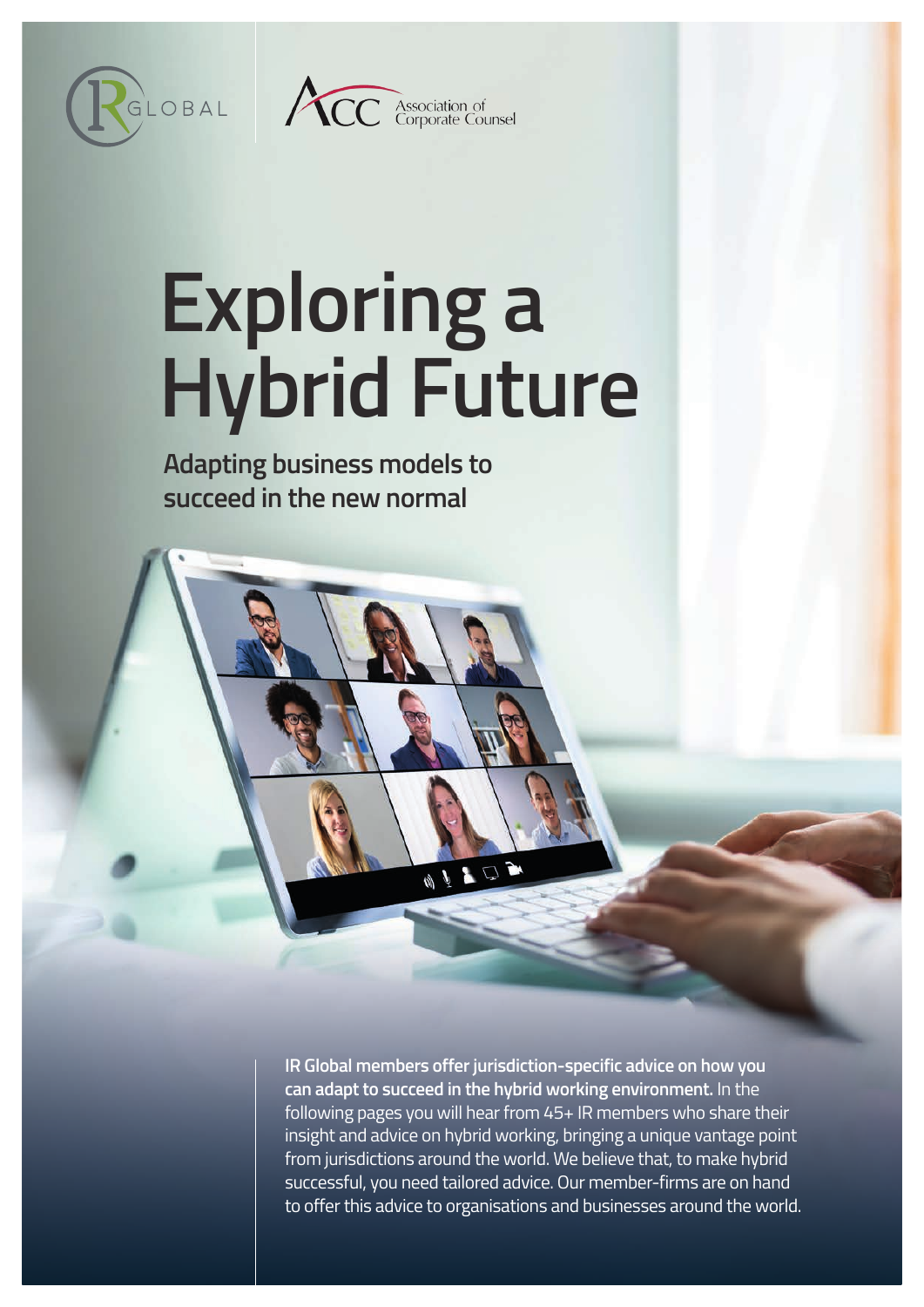



# **Exploring a Hybrid Future**

**Adapting business models to succeed in the new normal** 

> **IR Global members offer jurisdiction-specific advice on how you can adapt to succeed in the hybrid working environment.** In the following pages you will hear from 45+ IR members who share their insight and advice on hybrid working, bringing a unique vantage point from jurisdictions around the world. We believe that, to make hybrid successful, you need tailored advice. Our member-firms are on hand to offer this advice to organisations and businesses around the world.